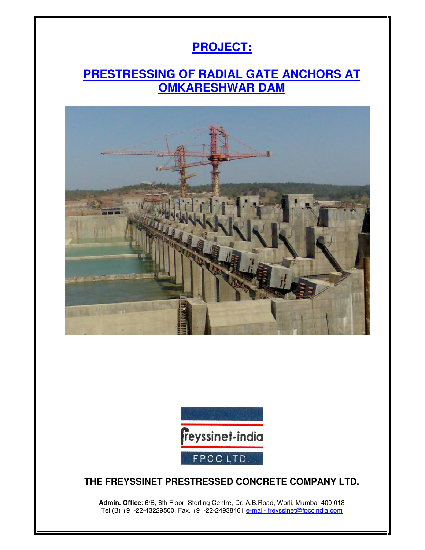# **PROJECT:**

## **PRESTRESSING OF RADIAL GATE ANCHORS AT OMKARESHWAR DAM**





#### **THE FREYSSINET PRESTRESSED CONCRETE COMPANY LTD.**

**Admin. Office**: 6/B, 6th Floor, Sterling Centre, Dr. A.B.Road, Worli, Mumbai-400 018 Tel.(B) +91-22-43229500, Fax. +91-22-24938461 <u>e-mail- freyssinet@fpccindia.com</u>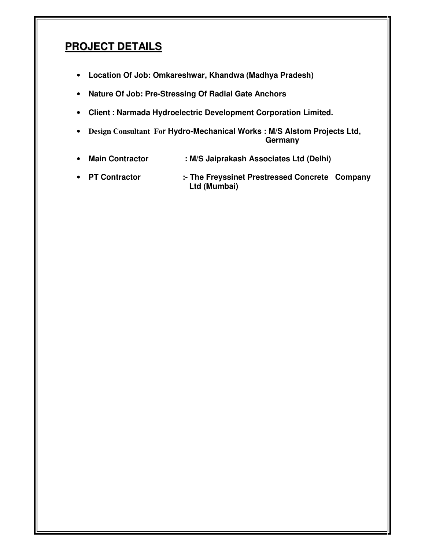### **PROJECT DETAILS**

- **Location Of Job: Omkareshwar, Khandwa (Madhya Pradesh)**
- **Nature Of Job: Pre-Stressing Of Radial Gate Anchors**
- **Client : Narmada Hydroelectric Development Corporation Limited.**
- **Design Consultant For Hydro-Mechanical Works : M/S Alstom Projects Ltd, Germany**
- **Main Contractor : M/S Jaiprakash Associates Ltd (Delhi)**
- **PT Contractor :- The Freyssinet Prestressed Concrete Company Ltd (Mumbai)**